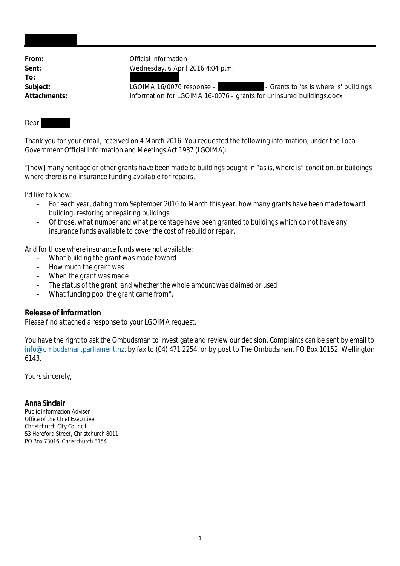**To:**

From: **From:** Official Information **Sent:** Wednesday, 6 April 2016 4:04 p.m.

Subject: LGOIMA 16/0076 response - The State of the State of the UGOIMA 16/0076 response -**Attachments:** Information for LGOIMA 16-0076 - grants for uninsured buildings.docx

#### Dear

Thank you for your email, received on 4 March 2016. You requested the following information, under the Local Government Official Information and Meetings Act 1987 (LGOIMA):

"*[how] many heritage or other grants have been made to buildings bought in "as is, where is" condition, or buildings where there is no insurance funding available for repairs.*

*I'd like to know:*

- *For each year, dating from September 2010 to March this year, how many grants have been made toward building, restoring or repairing buildings.*
- *Of those, what number and what percentage have been granted to buildings which do not have any insurance funds available to cover the cost of rebuild or repair.*

*And for those where insurance funds were not available:*

- *What building the grant was made toward*
- *How much the grant was*
- *When the grant was made*
- *The status of the grant, and whether the whole amount was claimed or used*
- *What funding pool the grant came from*".

# **Release of information**

Please find attached a response to your LGOIMA request.

You have the right to ask the Ombudsman to investigate and review our decision. Complaints can be sent by email to info@ombudsman.parliament.nz, by fax to (04) 471 2254, or by post to The Ombudsman, PO Box 10152, Wellington 6143.

Yours sincerely,

**Anna Sinclair** Public Information Adviser Office of the Chief Executive Christchurch City Council 53 Hereford Street, Christchurch 8011 PO Box 73016, Christchurch 8154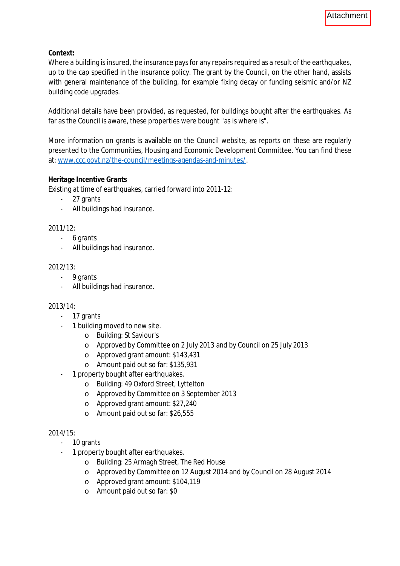**Context:**

Where a building is insured, the insurance pays for any repairs required as a result of the earthquakes, up to the cap specified in the insurance policy. The grant by the Council, on the other hand, assists with general maintenance of the building, for example fixing decay or funding seismic and/or NZ building code upgrades.

Additional details have been provided, as requested, for buildings bought after the earthquakes. As far as the Council is aware, these properties were bought "as is where is".

More information on grants is available on the Council website, as reports on these are regularly presented to the Communities, Housing and Economic Development Committee. You can find these at: [www.ccc.govt.nz/the-council/meetings-agendas-and-minutes/](http://www.ccc.govt.nz/the-council/meetings-agendas-and-minutes/).

### **Heritage Incentive Grants**

Existing at time of earthquakes, carried forward into 2011-12:

- 27 grants
- All buildings had insurance.

### 2011/12:

- 6 grants
- All buildings had insurance.

### 2012/13:

- 9 grants
- All buildings had insurance.

### 2013/14:

- 17 grants
- 1 building moved to new site.
	- o Building: St Saviour's
	- o Approved by Committee on 2 July 2013 and by Council on 25 July 2013
	- o Approved grant amount: \$143,431
	- o Amount paid out so far: \$135,931
- 1 property bought after earthquakes.
	- o Building: 49 Oxford Street, Lyttelton
	- o Approved by Committee on 3 September 2013
	- o Approved grant amount: \$27,240
	- o Amount paid out so far: \$26,555

### 2014/15:

- 10 grants
- 1 property bought after earthquakes.
	- o Building: 25 Armagh Street, The Red House
	- o Approved by Committee on 12 August 2014 and by Council on 28 August 2014
	- o Approved grant amount: \$104,119
	- o Amount paid out so far: \$0